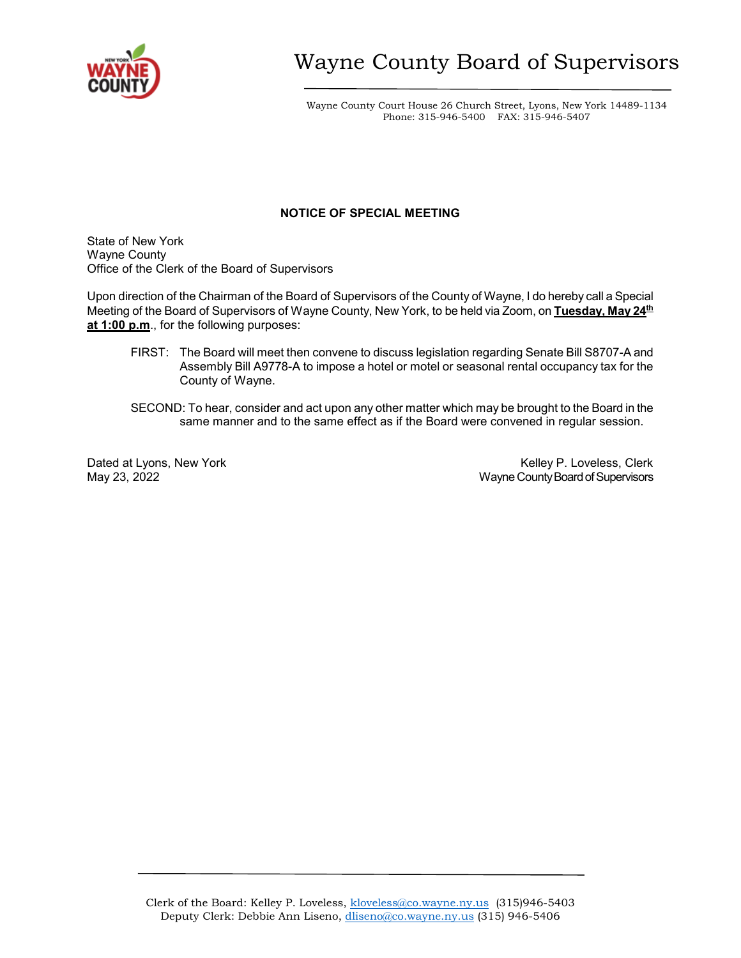

Wayne County Court House 26 Church Street, Lyons, New York 14489-1134 Phone: 315-946-5400 FAX: 315-946-5407

## **NOTICE OF SPECIAL MEETING**

State of New York Wayne County Office of the Clerk of the Board of Supervisors

Upon direction of the Chairman of the Board of Supervisors of the County of Wayne, I do hereby call a Special Meeting of the Board of Supervisors of Wayne County, New York, to be held via Zoom, on **Tuesday, May 24th at 1:00 p.m.**, for the following purposes:

- FIRST: The Board will meet then convene to discuss legislation regarding Senate Bill S8707-A and Assembly Bill A9778-A to impose a hotel or motel or seasonal rental occupancy tax for the County of Wayne.
- SECOND: To hear, consider and act upon any other matter which may be brought to the Board in the same manner and to the same effect as if the Board were convened in regular session.

Dated at Lyons, New York Number 20, 2022<br>Mayne County Board of Supervisors Number 23, 2022 Wayne County Board of Supervisors